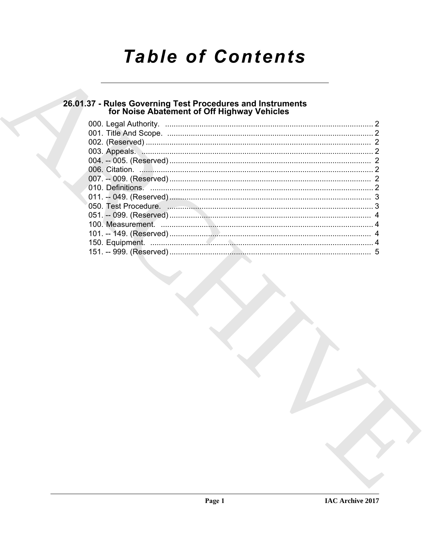# **Table of Contents**

# 26.01.37 - Rules Governing Test Procedures and Instruments<br>for Noise Abatement of Off Highway Vehicles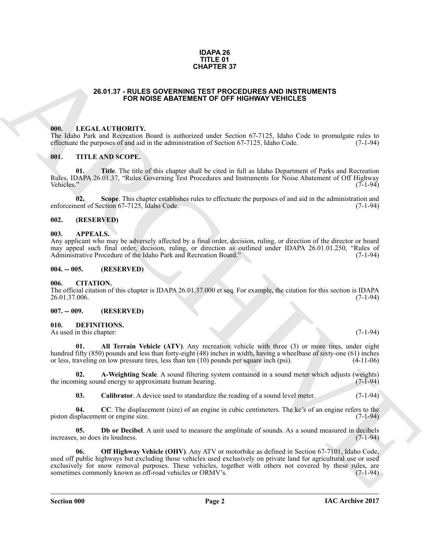#### **IDAPA 26 TITLE 01 CHAPTER 37**

#### **26.01.37 - RULES GOVERNING TEST PROCEDURES AND INSTRUMENTS FOR NOISE ABATEMENT OF OFF HIGHWAY VEHICLES**

#### <span id="page-1-1"></span><span id="page-1-0"></span>**000. LEGAL AUTHORITY.**

The Idaho Park and Recreation Board is authorized under Section 67-7125, Idaho Code to promulgate rules to effectuate the purposes of and aid in the administration of Section 67-7125, Idaho Code. (7-1-94) effectuate the purposes of and aid in the administration of Section 67-7125, Idaho Code.

#### <span id="page-1-2"></span>**001. TITLE AND SCOPE.**

**01. Title**. The title of this chapter shall be cited in full as Idaho Department of Parks and Recreation Rules, IDAPA 26.01.37, "Rules Governing Test Procedures and Instruments for Noise Abatement of Off Highway<br>Vehicles." (7-1-94) Vehicles." (7-1-94)

**02.** Scope. This chapter establishes rules to effectuate the purposes of and aid in the administration and nent of Section 67-7125, Idaho Code. (7-1-94) enforcement of Section 67-7125, Idaho Code.

#### <span id="page-1-3"></span>**002. (RESERVED)**

#### <span id="page-1-4"></span>**003. APPEALS.**

Any applicant who may be adversely affected by a final order, decision, ruling, or direction of the director or board may appeal such final order, decision, ruling, or direction as outlined under IDAPA 26.01.01.250, "Rules of Administrative Procedure of the Idaho Park and Recreation Board." (7-1-94) Administrative Procedure of the Idaho Park and Recreation Board.'

#### <span id="page-1-5"></span>**004. -- 005. (RESERVED)**

#### <span id="page-1-6"></span>**006. CITATION.**

The official citation of this chapter is IDAPA 26.01.37.000 et seq. For example, the citation for this section is IDAPA 26.01.37.006. (7-1-94) 26.01.37.006.

#### <span id="page-1-7"></span>**007. -- 009. (RESERVED)**

#### <span id="page-1-9"></span><span id="page-1-8"></span>**010. DEFINITIONS.**

As used in this chapter: (7-1-94)

<span id="page-1-10"></span>**01. All Terrain Vehicle (ATV)**. Any recreation vehicle with three (3) or more tires, under eight hundred fifty (850) pounds and less than forty-eight (48) inches in width, having a wheelbase of sixty-one (61) inches or less, traveling on low pressure tires, less than ten (10) pounds per square inch (psi). (4-11-06)

**02. A-Weighting Scale**. A sound filtering system contained in a sound meter which adjusts (weights) ning sound energy to approximate human hearing. the incoming sound energy to approximate human hearing.

<span id="page-1-14"></span><span id="page-1-13"></span><span id="page-1-12"></span><span id="page-1-11"></span>**03.** Calibrator. A device used to standardize the reading of a sound level meter. (7-1-94)

**04.** CC. The displacement (size) of an engine in cubic centimeters. The kc's of an engine refers to the splacement or engine size. (7-1-94) piston displacement or engine size.

<span id="page-1-15"></span>**05. Db or Decibel**. A unit used to measure the amplitude of sounds. As a sound measured in decibels s, so does its loudness. (7-1-94) increases, so does its loudness.

**26.01.37 FOLLES GOVERNING TEST FRONTENT ST<br>
FOR NOGE ABATIMENT OF OFF HIGHWAY VEHICLES<br>
1980. INCLUSION THE VALUE OF THE VALUE OF THE VALUE OF THE VALUE OF THE VALUE OF THE VALUE OF THE VALUE OF THE VALUE OF THE VALUE OF 06.** Off Highway Vehicle (OHV). Any ATV or motorbike as defined in Section 67-7101, Idaho Code, used off public highways but excluding those vehicles used exclusively on private land for agricultural use or used exclusively for snow removal purposes. These vehicles, together with others not covered by these rules, are sometimes commonly known as off-road vehicles or ORMV's. sometimes commonly known as off-road vehicles or ORMV's.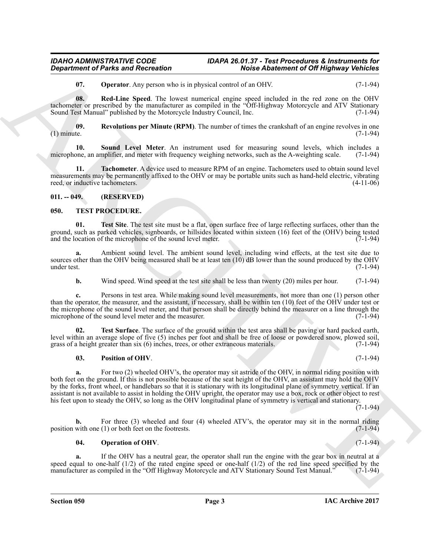### *IDAHO ADMINISTRATIVE CODE IDAPA 26.01.37 - Test Procedures & Instruments for Noise Abatement of Off Highway Vehicles*

<span id="page-2-4"></span><span id="page-2-3"></span><span id="page-2-2"></span>**07. Operator**. Any person who is in physical control of an OHV. (7-1-94)

**08. Red-Line Speed**. The lowest numerical engine speed included in the red zone on the OHV tachometer or prescribed by the manufacturer as compiled in the "Off-Highway Motorcycle and ATV Stationary Sound Test Manual" published by the Motorcycle Industry Council, Inc. (7-1-94)

**09.** Revolutions per Minute (RPM). The number of times the crankshaft of an engine revolves in one te. (7-1-94) (1) minute.  $(7-1-94)$ 

<span id="page-2-5"></span>**10.** Sound Level Meter. An instrument used for measuring sound levels, which includes a one, an amplifier, and meter with frequency weighing networks, such as the A-weighting scale. (7-1-94) microphone, an amplifier, and meter with frequency weighing networks, such as the A-weighting scale.

<span id="page-2-6"></span>**11. Tachometer**. A device used to measure RPM of an engine. Tachometers used to obtain sound level measurements may be permanently affixed to the OHV or may be portable units such as hand-held electric, vibrating reed, or inductive tachometers. (4-11-06)

### <span id="page-2-0"></span>**011. -- 049. (RESERVED)**

#### <span id="page-2-7"></span><span id="page-2-1"></span>**050. TEST PROCEDURE.**

<span id="page-2-10"></span>**01. Test Site**. The test site must be a flat, open surface free of large reflecting surfaces, other than the ground, such as parked vehicles, signboards, or hillsides located within sixteen (16) feet of the (OHV) being tested and the location of the microphone of the sound level meter. (7-1-94) and the location of the microphone of the sound level meter.

**a.** Ambient sound level. The ambient sound level, including wind effects, at the test site due to sources other than the OHV being measured shall be at least ten  $(10)$  dB lower than the sound produced by the OHV under test.  $(7-1-94)$ under test. (7-1-94)

**b.** Wind speed. Wind speed at the test site shall be less than twenty (20) miles per hour. (7-1-94)

**c.** Persons in test area. While making sound level measurements, not more than one (1) person other than the operator, the measurer, and the assistant, if necessary, shall be within ten (10) feet of the OHV under test or the microphone of the sound level meter, and that person shall be directly behind the measurer on a line through the microphone of the sound level meter and the measurer. (7-1-94)

**02. Test Surface**. The surface of the ground within the test area shall be paving or hard packed earth, level within an average slope of five (5) inches per foot and shall be free of loose or powdered snow, plowed soil, grass of a height greater than six (6) inches, trees, or other extraneous materials. (7-1-94) grass of a height greater than six  $(6)$  inches, trees, or other extraneous materials.

#### <span id="page-2-11"></span><span id="page-2-9"></span>**03. Position of OHV**. (7-1-94)

**Department of Paris and Recreation**<br>
White Additionesis of DV Highest Visite Contents of DV Highest Visite Contents of DV Highest Visite Contents of DV Highest Visite Contents of DV Highest Visite Contents of DV Highest **a.** For two (2) wheeled OHV's, the operator may sit astride of the OHV, in normal riding position with both feet on the ground. If this is not possible because of the seat height of the OHV, an assistant may hold the OHV by the forks, front wheel, or handlebars so that it is stationary with its longitudinal plane of symmetry vertical. If an assistant is not available to assist in holding the OHV upright, the operator may use a box, rock or other object to rest his feet upon to steady the OHV, so long as the OHV longitudinal plane of symmetry is vertical and stationary.

 $(7-1-94)$ 

**b.** For three (3) wheeled and four (4) wheeled ATV's, the operator may sit in the normal riding with one (1) or both feet on the footrests. (7-1-94) position with one  $(1)$  or both feet on the footrests.

#### <span id="page-2-8"></span>**04.** Operation of OHV. (7-1-94)

**a.** If the OHV has a neutral gear, the operator shall run the engine with the gear box in neutral at a speed equal to one-half (1/2) of the rated engine speed or one-half (1/2) of the red line speed specified by the manufacturer as compiled in the "Off Highway Motorcycle and ATV Stationary Sound Test Manual." (7-1-94) manufacturer as compiled in the "Off Highway Motorcycle and ATV Stationary Sound Test Manual."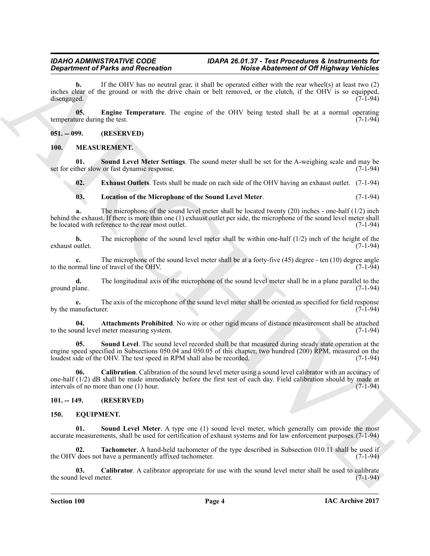**Expansion of Paints and Reinvotentring the control within 6 and solutions of the light space space of the space of the space of the space of the space of the space of the space of the space of the space of the space of t b.** If the OHV has no neutral gear, it shall be operated either with the rear wheel(s) at least two (2) inches clear of the ground or with the drive chain or belt removed, or the clutch, if the OHV is so equipped, disengaged. (7-1-94)

<span id="page-3-15"></span>**05. Engine Temperature**. The engine of the OHV being tested shall be at a normal operating ure during the test. (7-1-94) temperature during the test.

#### <span id="page-3-0"></span>**051. -- 099. (RESERVED)**

#### <span id="page-3-8"></span><span id="page-3-1"></span>**100. MEASUREMENT.**

**01.** Sound Level Meter Settings. The sound meter shall be set for the A-weighing scale and may be ther slow or fast dynamic response. (7-1-94) set for either slow or fast dynamic response.

<span id="page-3-14"></span><span id="page-3-11"></span>**02. Exhaust Outlets**. Tests shall be made on each side of the OHV having an exhaust outlet. (7-1-94)

### <span id="page-3-12"></span>**03. Location of the Microphone of the Sound Level Meter**. (7-1-94)

**a.** The microphone of the sound level meter shall be located twenty (20) inches - one-half (1/2) inch behind the exhaust. If there is more than one (1) exhaust outlet per side, the microphone of the sound level meter shall<br>be located with reference to the rear most outlet. (7-1-94) be located with reference to the rear most outlet.

**b.** The microphone of the sound level meter shall be within one-half  $(1/2)$  inch of the height of the outlet.  $(7-1-94)$ exhaust outlet.

**c.** The microphone of the sound level meter shall be at a forty-five (45) degree - ten (10) degree angle rmal line of travel of the OHV. (7-1-94) to the normal line of travel of the OHV.

**d.** The longitudinal axis of the microphone of the sound level meter shall be in a plane parallel to the lane. (7-1-94) ground plane.

**e.** The axis of the microphone of the sound level meter shall be oriented as specified for field response anufacturer. (7-1-94) by the manufacturer.

<span id="page-3-9"></span>**04. Attachments Prohibited**. No wire or other rigid means of distance measurement shall be attached und level meter measuring system. (7-1-94) to the sound level meter measuring system.

<span id="page-3-13"></span>**05. Sound Level**. The sound level recorded shall be that measured during steady state operation at the engine speed specified in Subsections 050.04 and 050.05 of this chapter, two hundred (200) RPM, measured on the loudest side of the OHV. The test speed in RPM shall also be recorded. (7-1-94) loudest side of the OHV. The test speed in RPM shall also be recorded.

<span id="page-3-10"></span>**06. Calibration**. Calibration of the sound level meter using a sound level calibrator with an accuracy of one-half (1/2) dB shall be made immediately before the first test of each day. Field calibration should by made at intervals of no more than one (1) hour.  $(7-1-94)$ intervals of no more than one  $(1)$  hour.

### <span id="page-3-2"></span>**101. -- 149. (RESERVED)**

#### <span id="page-3-6"></span><span id="page-3-4"></span><span id="page-3-3"></span>**150. EQUIPMENT.**

**01.** Sound Level Meter. A type one (1) sound level meter, which generally can provide the most accurate measurements, shall be used for certification of exhaust systems and for law enforcement purposes.(7-1-94)

<span id="page-3-7"></span>**02. Tachometer**. A hand-held tachometer of the type described in Subsection 010.11 shall be used if (does not have a permanently affixed tachometer. (7-1-94) the OHV does not have a permanently affixed tachometer.

<span id="page-3-5"></span>**03.** Calibrator. A calibrator appropriate for use with the sound level meter shall be used to calibrate if level meter. the sound level meter.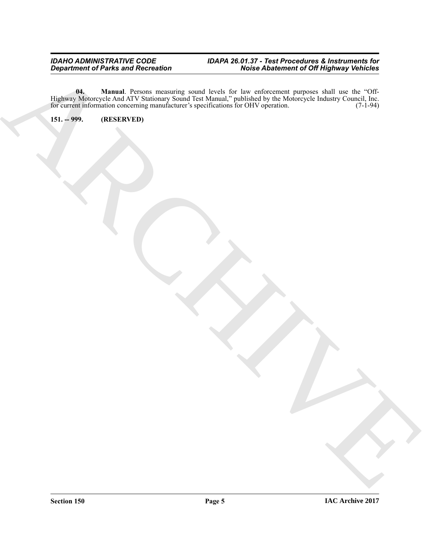#### <span id="page-4-1"></span>*IDAHO ADMINISTRATIVE CODE IDAPA 26.01.37 - Test Procedures & Instruments for Department of Parks and Recreation Noise Abatement of Off Highway Vehicles*

ARCHIVE **04. Manual**. Persons measuring sound levels for law enforcement purposes shall use the "Off-Highway Motorcycle And ATV Stationary Sound Test Manual," published by the Motorcycle Industry Council, Inc. for current information concerning manufacturer's specifications for OHV operation. (7-1-94)

<span id="page-4-0"></span>**151. -- 999. (RESERVED)**